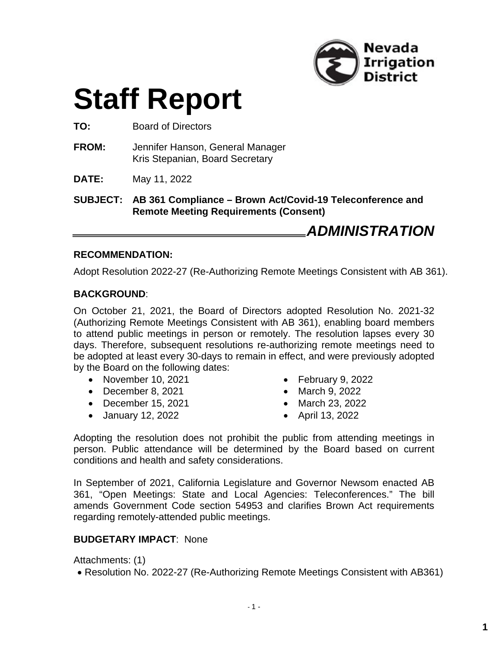

# **Staff Report**

**TO:** Board of Directors

- **FROM:** Jennifer Hanson, General Manager Kris Stepanian, Board Secretary
- **DATE:** May 11, 2022

**SUBJECT: AB 361 Compliance – Brown Act/Covid-19 Teleconference and Remote Meeting Requirements (Consent)**

*ADMINISTRATION*

#### **RECOMMENDATION:**

Adopt Resolution 2022-27 (Re-Authorizing Remote Meetings Consistent with AB 361).

#### **BACKGROUND**:

On October 21, 2021, the Board of Directors adopted Resolution No. 2021-32 (Authorizing Remote Meetings Consistent with AB 361), enabling board members to attend public meetings in person or remotely. The resolution lapses every 30 days. Therefore, subsequent resolutions re-authorizing remote meetings need to be adopted at least every 30-days to remain in effect, and were previously adopted by the Board on the following dates:

- $\bullet$  November 10, 2021
- December 8, 2021
- $\bullet$  December 15, 2021
- January 12, 2022
- $\bullet$  February 9, 2022
- March 9, 2022
- March 23, 2022
- April 13, 2022

Adopting the resolution does not prohibit the public from attending meetings in person. Public attendance will be determined by the Board based on current conditions and health and safety considerations.

In September of 2021, California Legislature and Governor Newsom enacted AB 361, "Open Meetings: State and Local Agencies: Teleconferences." The bill amends Government Code section 54953 and clarifies Brown Act requirements regarding remotely-attended public meetings.

#### **BUDGETARY IMPACT**: None

Attachments: (1)

Resolution No. 2022-27 (Re-Authorizing Remote Meetings Consistent with AB361)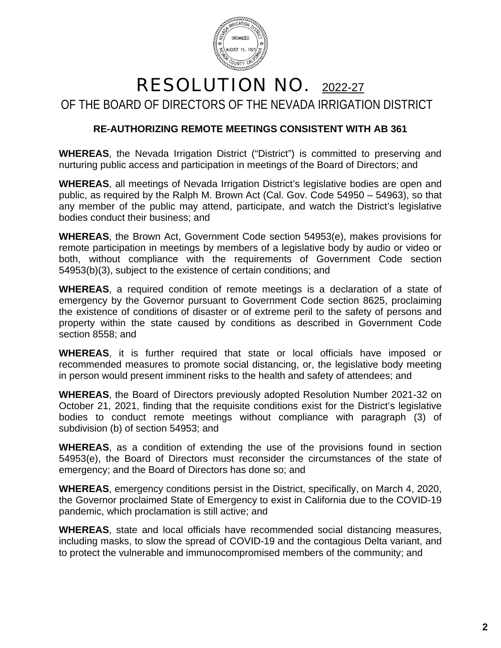

## RESOLUTION NO. 2022-27 OF THE BOARD OF DIRECTORS OF THE NEVADA IRRIGATION DISTRICT

### **RE-AUTHORIZING REMOTE MEETINGS CONSISTENT WITH AB 361**

**WHEREAS**, the Nevada Irrigation District ("District") is committed to preserving and nurturing public access and participation in meetings of the Board of Directors; and

**WHEREAS**, all meetings of Nevada Irrigation District's legislative bodies are open and public, as required by the Ralph M. Brown Act (Cal. Gov. Code 54950 – 54963), so that any member of the public may attend, participate, and watch the District's legislative bodies conduct their business; and

**WHEREAS**, the Brown Act, Government Code section 54953(e), makes provisions for remote participation in meetings by members of a legislative body by audio or video or both, without compliance with the requirements of Government Code section 54953(b)(3), subject to the existence of certain conditions; and

**WHEREAS**, a required condition of remote meetings is a declaration of a state of emergency by the Governor pursuant to Government Code section 8625, proclaiming the existence of conditions of disaster or of extreme peril to the safety of persons and property within the state caused by conditions as described in Government Code section 8558; and

**WHEREAS**, it is further required that state or local officials have imposed or recommended measures to promote social distancing, or, the legislative body meeting in person would present imminent risks to the health and safety of attendees; and

**WHEREAS**, the Board of Directors previously adopted Resolution Number 2021-32 on October 21, 2021, finding that the requisite conditions exist for the District's legislative bodies to conduct remote meetings without compliance with paragraph (3) of subdivision (b) of section 54953; and

**WHEREAS**, as a condition of extending the use of the provisions found in section 54953(e), the Board of Directors must reconsider the circumstances of the state of emergency; and the Board of Directors has done so; and

**WHEREAS**, emergency conditions persist in the District, specifically, on March 4, 2020, the Governor proclaimed State of Emergency to exist in California due to the COVID-19 pandemic, which proclamation is still active; and

**WHEREAS**, state and local officials have recommended social distancing measures, including masks, to slow the spread of COVID-19 and the contagious Delta variant, and to protect the vulnerable and immunocompromised members of the community; and